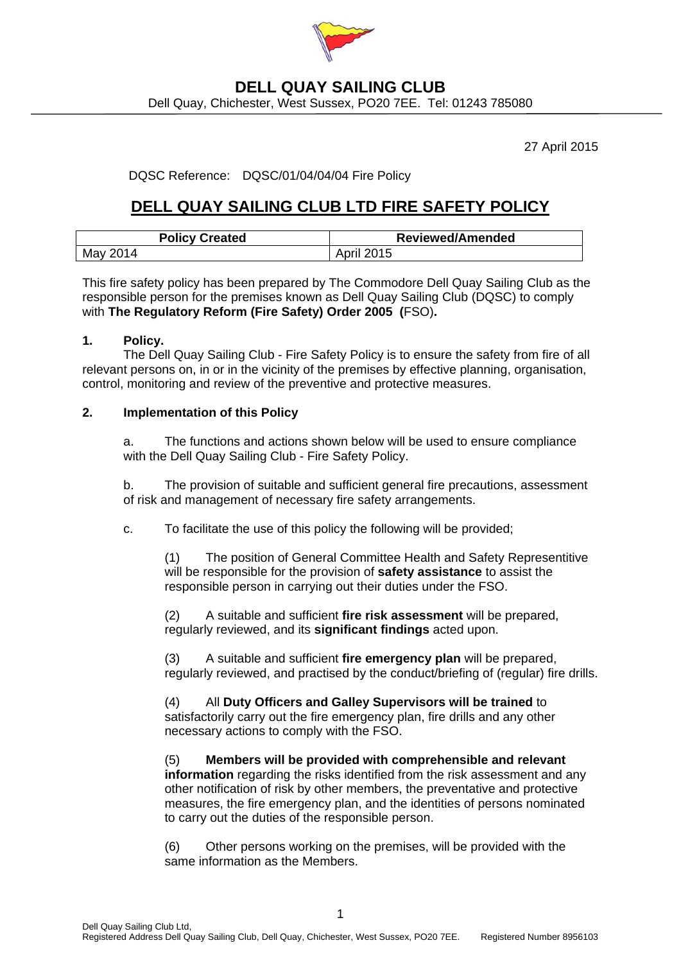

## **DELL QUAY SAILING CLUB**

Dell Quay, Chichester, West Sussex, PO20 7EE. Tel: 01243 785080

27 April 2015

DQSC Reference: DQSC/01/04/04/04 Fire Policy

## **DELL QUAY SAILING CLUB LTD FIRE SAFETY POLICY**

| <b>Policy Created</b> | <b>Reviewed/Amended</b> |
|-----------------------|-------------------------|
| May 2014              | <b>April 2015</b>       |

This fire safety policy has been prepared by The Commodore Dell Quay Sailing Club as the responsible person for the premises known as Dell Quay Sailing Club (DQSC) to comply with **The Regulatory Reform (Fire Safety) Order 2005 (**FSO)**.** 

## **1. Policy.**

 The Dell Quay Sailing Club - Fire Safety Policy is to ensure the safety from fire of all relevant persons on, in or in the vicinity of the premises by effective planning, organisation, control, monitoring and review of the preventive and protective measures.

## **2. Implementation of this Policy**

a. The functions and actions shown below will be used to ensure compliance with the Dell Quay Sailing Club - Fire Safety Policy.

b. The provision of suitable and sufficient general fire precautions, assessment of risk and management of necessary fire safety arrangements.

c. To facilitate the use of this policy the following will be provided;

(1) The position of General Committee Health and Safety Representitive will be responsible for the provision of **safety assistance** to assist the responsible person in carrying out their duties under the FSO.

(2) A suitable and sufficient **fire risk assessment** will be prepared, regularly reviewed, and its **significant findings** acted upon.

(3) A suitable and sufficient **fire emergency plan** will be prepared, regularly reviewed, and practised by the conduct/briefing of (regular) fire drills.

(4) All **Duty Officers and Galley Supervisors will be trained** to satisfactorily carry out the fire emergency plan, fire drills and any other necessary actions to comply with the FSO.

(5) **Members will be provided with comprehensible and relevant information** regarding the risks identified from the risk assessment and any other notification of risk by other members, the preventative and protective measures, the fire emergency plan, and the identities of persons nominated to carry out the duties of the responsible person.

(6) Other persons working on the premises, will be provided with the same information as the Members.